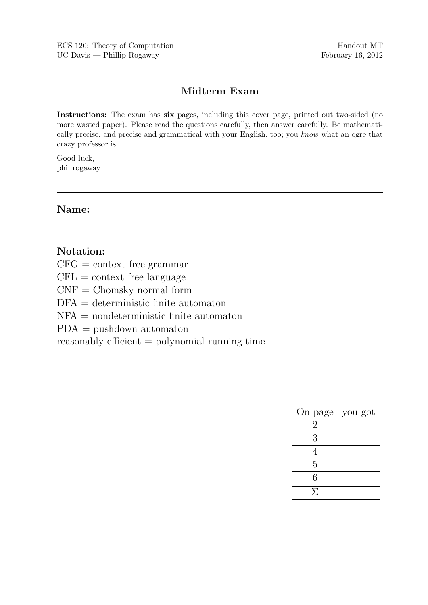## Midterm Exam

Instructions: The exam has six pages, including this cover page, printed out two-sided (no more wasted paper). Please read the questions carefully, then answer carefully. Be mathematically precise, and precise and grammatical with your English, too; you know what an ogre that crazy professor is.

Good luck, phil rogaway

Name:

## Notation:

 $CFG = \text{context free grammar}$ 

 $CFL = context free language$ 

 $CNF = Chomsky$  normal form

 $DFA =$  deterministic finite automaton

NFA = nondeterministic finite automaton

PDA = pushdown automaton

reasonably efficient = polynomial running time

| On page | you got |
|---------|---------|
| 2       |         |
| 3       |         |
| 4       |         |
| 5       |         |
| 6       |         |
|         |         |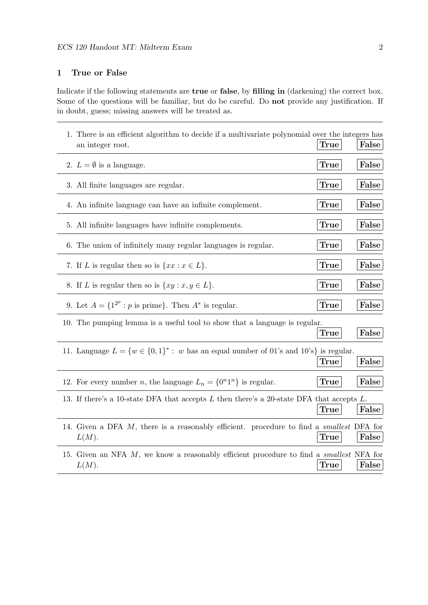## 1 True or False

Indicate if the following statements are true or false, by filling in (darkening) the correct box. Some of the questions will be familiar, but do be careful. Do not provide any justification. If in doubt, guess; missing answers will be treated as.

| 1. There is an efficient algorithm to decide if a multivariate polynomial over the integers has<br>an integer root.  | True        | False |
|----------------------------------------------------------------------------------------------------------------------|-------------|-------|
| 2. $L = \emptyset$ is a language.                                                                                    | True        | False |
| 3. All finite languages are regular.                                                                                 | True        | False |
| 4. An infinite language can have an infinite complement.                                                             | <b>True</b> | False |
| 5. All infinite languages have infinite complements.                                                                 | True        | False |
| 6. The union of infinitely many regular languages is regular.                                                        | True        | False |
| 7. If L is regular then so is $\{xx : x \in L\}$ .                                                                   | True        | False |
| 8. If L is regular then so is $\{xy : x, y \in L\}$ .                                                                | True        | False |
| 9. Let $A = \{1^{2^p} : p \text{ is prime}\}\.$ Then $A^*$ is regular.                                               | True        | False |
| 10. The pumping lemma is a useful tool to show that a language is regular.                                           | True        | False |
| 11. Language $L = \{w \in \{0,1\}^* : w \text{ has an equal number of } 01\text{'s and } 10\text{'s}\}\$ is regular. | True        | False |
| 12. For every number <i>n</i> , the language $L_n = \{0^n1^n\}$ is regular.                                          | True        | False |
| 13. If there's a 10-state DFA that accepts L then there's a 20-state DFA that accepts L.                             | True        | False |
| 14. Given a DFA M, there is a reasonably efficient. procedure to find a <i>smallest</i> DFA for<br>L(M).             | <b>True</b> | False |
| 15. Given an NFA M, we know a reasonably efficient procedure to find a <i>smallest</i> NFA for<br>L(M).              | True        | False |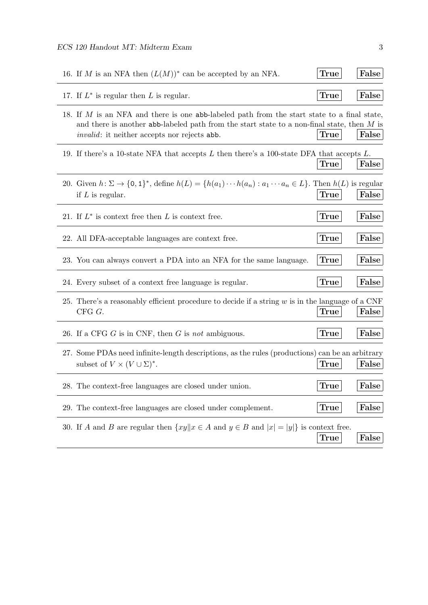| 16. If M is an NFA then $(L(M))^*$ can be accepted by an NFA.                                                                                                                                                                                       | True | False |
|-----------------------------------------------------------------------------------------------------------------------------------------------------------------------------------------------------------------------------------------------------|------|-------|
| 17. If $L^*$ is regular then L is regular.                                                                                                                                                                                                          | True | False |
| 18. If M is an NFA and there is one abb-labeled path from the start state to a final state,<br>and there is another abb-labeled path from the start state to a non-final state, then $M$ is<br><i>invalid</i> : it neither accepts nor rejects abb. | True | False |
| 19. If there's a 10-state NFA that accepts $L$ then there's a 100-state DFA that accepts $L$ .                                                                                                                                                      | True | False |
| 20. Given $h \colon \Sigma \to \{0,1\}^*$ , define $h(L) = \{h(a_1) \cdots h(a_n) : a_1 \cdots a_n \in L\}$ . Then $h(L)$ is regular<br>if $L$ is regular.                                                                                          | True | False |
| 21. If $L^*$ is context free then L is context free.                                                                                                                                                                                                | True | False |
| 22. All DFA-acceptable languages are context free.                                                                                                                                                                                                  | True | False |
| 23. You can always convert a PDA into an NFA for the same language.                                                                                                                                                                                 | True | False |
| 24. Every subset of a context free language is regular.                                                                                                                                                                                             | True | False |
| 25. There's a reasonably efficient procedure to decide if a string w is in the language of a CNF<br>$CFG$ $G$ .                                                                                                                                     | True | False |
| 26. If a CFG $G$ is in CNF, then $G$ is not ambiguous.                                                                                                                                                                                              | True | False |
| 27. Some PDAs need infinite-length descriptions, as the rules (productions) can be an arbitrary<br>subset of $V \times (V \cup \Sigma)^*$ .                                                                                                         | True | False |
| 28. The context-free languages are closed under union.                                                                                                                                                                                              | True | False |
| 29. The context-free languages are closed under complement.                                                                                                                                                                                         | True | False |
| 30. If A and B are regular then $\{xy \mid x \in A \text{ and } y \in B \text{ and }  x  =  y \}$ is context free.                                                                                                                                  | True | False |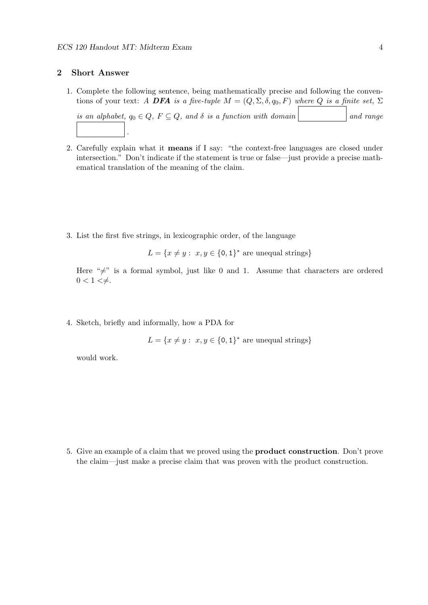## 2 Short Answer

1. Complete the following sentence, being mathematically precise and following the conventions of your text: A DFA is a five-tuple  $M = (Q, \Sigma, \delta, q_0, F)$  where Q is a finite set,  $\Sigma$ 

```
is an alphabet, q_0 \in Q, F \subseteq Q, and \delta is a function with domain and range
   .
```
- 2. Carefully explain what it means if I say: "the context-free languages are closed under intersection." Don't indicate if the statement is true or false—just provide a precise mathematical translation of the meaning of the claim.
- 3. List the first five strings, in lexicographic order, of the language

 $L = \{x \neq y : x, y \in \{0, 1\}^* \text{ are unequal strings}\}\$ 

Here " $\neq$ " is a formal symbol, just like 0 and 1. Assume that characters are ordered  $0 < 1 < \neq$ .

4. Sketch, briefly and informally, how a PDA for

$$
L = \{x \neq y : x, y \in \{0, 1\}^* \text{ are unequal strings}\}
$$

would work.

5. Give an example of a claim that we proved using the product construction. Don't prove the claim—just make a precise claim that was proven with the product construction.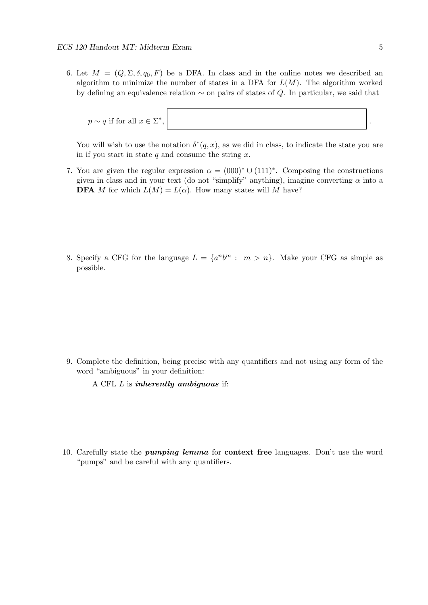6. Let  $M = (Q, \Sigma, \delta, q_0, F)$  be a DFA. In class and in the online notes we described an algorithm to minimize the number of states in a DFA for  $L(M)$ . The algorithm worked by defining an equivalence relation ∼ on pairs of states of Q. In particular, we said that

$$
p \sim q \text{ if for all } x \in \Sigma^*, \qquad \qquad \bigg| \ .
$$

You will wish to use the notation  $\delta^*(q, x)$ , as we did in class, to indicate the state you are in if you start in state  $q$  and consume the string  $x$ .

- 7. You are given the regular expression  $\alpha = (000)^* \cup (111)^*$ . Composing the constructions given in class and in your text (do not "simplify" anything), imagine converting  $\alpha$  into a **DFA** M for which  $L(M) = L(\alpha)$ . How many states will M have?
- 8. Specify a CFG for the language  $L = \{a^n b^m : m > n\}$ . Make your CFG as simple as possible.

- 9. Complete the definition, being precise with any quantifiers and not using any form of the word "ambiguous" in your definition:
	- A CFL  $L$  is *inherently ambiguous* if:
- 10. Carefully state the pumping lemma for context free languages. Don't use the word "pumps" and be careful with any quantifiers.